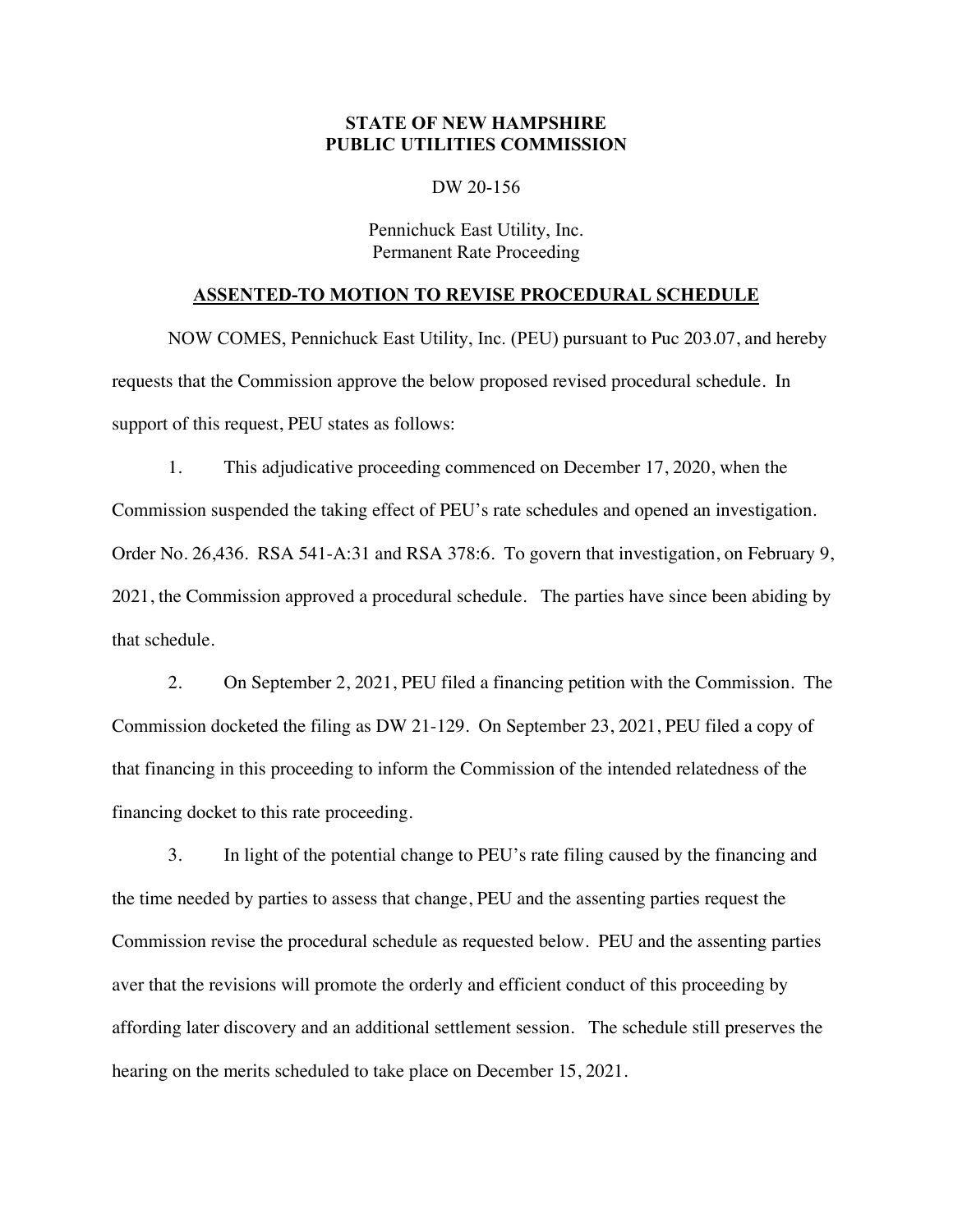## **STATE OF NEW HAMPSHIRE PUBLIC UTILITIES COMMISSION**

## DW 20-156

## Pennichuck East Utility, Inc. Permanent Rate Proceeding

## **ASSENTED-TO MOTION TO REVISE PROCEDURAL SCHEDULE**

NOW COMES, Pennichuck East Utility, Inc. (PEU) pursuant to Puc 203.07, and hereby requests that the Commission approve the below proposed revised procedural schedule. In support of this request, PEU states as follows:

1. This adjudicative proceeding commenced on December 17, 2020, when the Commission suspended the taking effect of PEU's rate schedules and opened an investigation. Order No. 26,436. RSA 541-A:31 and RSA 378:6. To govern that investigation, on February 9, 2021, the Commission approved a procedural schedule. The parties have since been abiding by that schedule.

2. On September 2, 2021, PEU filed a financing petition with the Commission. The Commission docketed the filing as DW 21-129. On September 23, 2021, PEU filed a copy of that financing in this proceeding to inform the Commission of the intended relatedness of the financing docket to this rate proceeding.

3. In light of the potential change to PEU's rate filing caused by the financing and the time needed by parties to assess that change, PEU and the assenting parties request the Commission revise the procedural schedule as requested below. PEU and the assenting parties aver that the revisions will promote the orderly and efficient conduct of this proceeding by affording later discovery and an additional settlement session. The schedule still preserves the hearing on the merits scheduled to take place on December 15, 2021.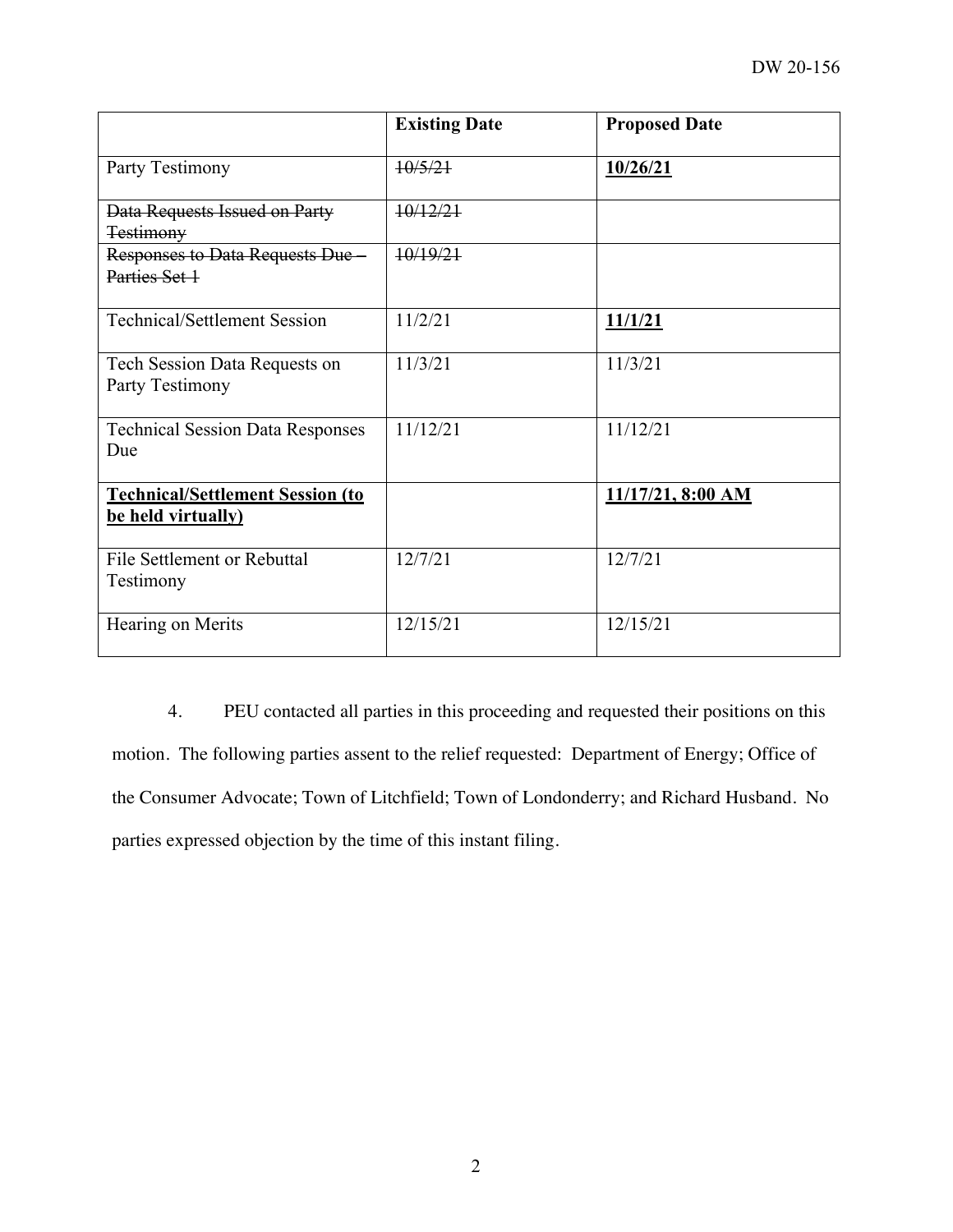|                                                               | <b>Existing Date</b> | <b>Proposed Date</b> |
|---------------------------------------------------------------|----------------------|----------------------|
| Party Testimony                                               | 10/5/21              | 10/26/21             |
| Data Requests Issued on Party<br><b>Testimony</b>             | 10/12/21             |                      |
| Responses to Data Requests Due<br>Parties Set 1               | 10/19/21             |                      |
| <b>Technical/Settlement Session</b>                           | 11/2/21              | 11/1/21              |
| Tech Session Data Requests on<br>Party Testimony              | 11/3/21              | 11/3/21              |
| <b>Technical Session Data Responses</b><br>Due                | 11/12/21             | 11/12/21             |
| <b>Technical/Settlement Session (to</b><br>be held virtually) |                      | 11/17/21, 8:00 AM    |
| File Settlement or Rebuttal<br>Testimony                      | 12/7/21              | 12/7/21              |
| Hearing on Merits                                             | 12/15/21             | 12/15/21             |

4. PEU contacted all parties in this proceeding and requested their positions on this motion. The following parties assent to the relief requested: Department of Energy; Office of the Consumer Advocate; Town of Litchfield; Town of Londonderry; and Richard Husband. No parties expressed objection by the time of this instant filing.